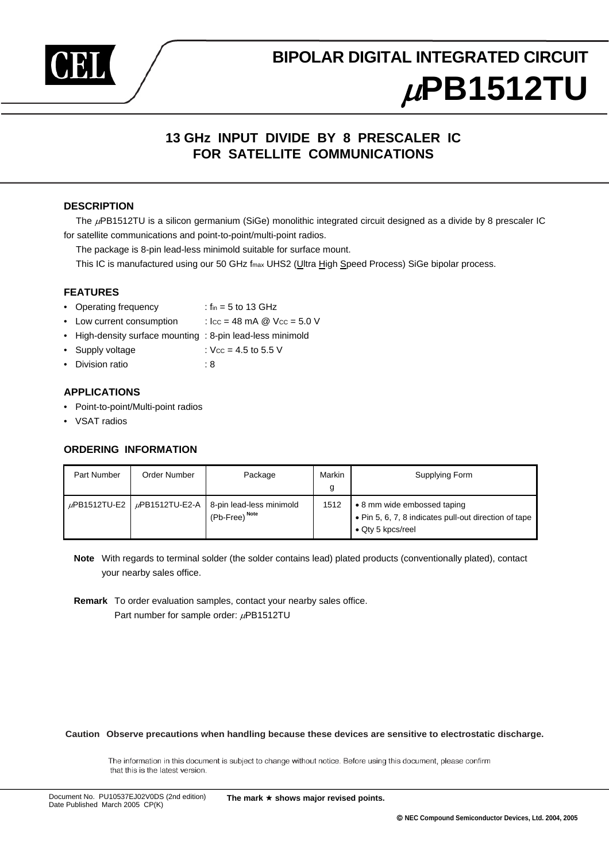

# **BIPOLAR DIGITAL INTEGRATED CIRCUIT** <sup>µ</sup>**PB1512TU**

### **13 GHz INPUT DIVIDE BY 8 PRESCALER IC FOR SATELLITE COMMUNICATIONS**

#### **DESCRIPTION**

The  $\mu$ PB1512TU is a silicon germanium (SiGe) monolithic integrated circuit designed as a divide by 8 prescaler IC for satellite communications and point-to-point/multi-point radios.

The package is 8-pin lead-less minimold suitable for surface mount.

This IC is manufactured using our 50 GHz fmax UHS2 (Ultra High Speed Process) SiGe bipolar process.

#### **FEATURES**

- Operating frequency : fin = 5 to 13 GHz
- Low current consumption :  $\text{Icc} = 48 \text{ mA} \text{ @ } \text{Vcc} = 5.0 \text{ V}$
- High-density surface mounting : 8-pin lead-less minimold
- Supply voltage : VCC = 4.5 to 5.5 V
- Division ratio : 8

#### **APPLICATIONS**

- Point-to-point/Multi-point radios
- VSAT radios

#### **ORDERING INFORMATION**

| Part Number       | Order Number        | Package                                               | Markin<br>g | Supplying Form                                                                                                    |
|-------------------|---------------------|-------------------------------------------------------|-------------|-------------------------------------------------------------------------------------------------------------------|
| $\mu$ PB1512TU-E2 | $\mu$ PB1512TU-E2-A | 8-pin lead-less minimold<br>(Pb-Free) <sup>Note</sup> | 1512        | • 8 mm wide embossed taping<br>. Pin 5, 6, 7, 8 indicates pull-out direction of tape<br>$\bullet$ Qty 5 kpcs/reel |

**Note** With regards to terminal solder (the solder contains lead) plated products (conventionally plated), contact your nearby sales office.

**Remark** To order evaluation samples, contact your nearby sales office. Part number for sample order:  $\mu$ PB1512TU

**Caution Observe precautions when handling because these devices are sensitive to electrostatic discharge.**

The information in this document is subject to change without notice. Before using this document, please confirm that this is the latest version.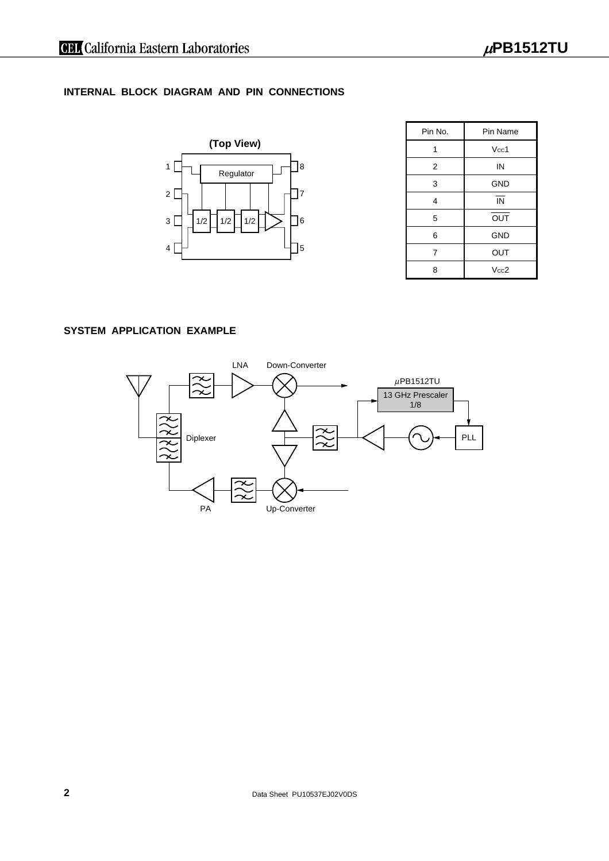#### **INTERNAL BLOCK DIAGRAM AND PIN CONNECTIONS**



| Pin No. | Pin Name                 |  |
|---------|--------------------------|--|
| 1       | Vcc1                     |  |
| 2       | IN                       |  |
| 3       | <b>GND</b>               |  |
| 4       | $\overline{\mathsf{IN}}$ |  |
| 5       | OUT                      |  |
| 6       | <b>GND</b>               |  |
| 7       | OUT                      |  |
| 8       | Vcc2                     |  |

#### **SYSTEM APPLICATION EXAMPLE**

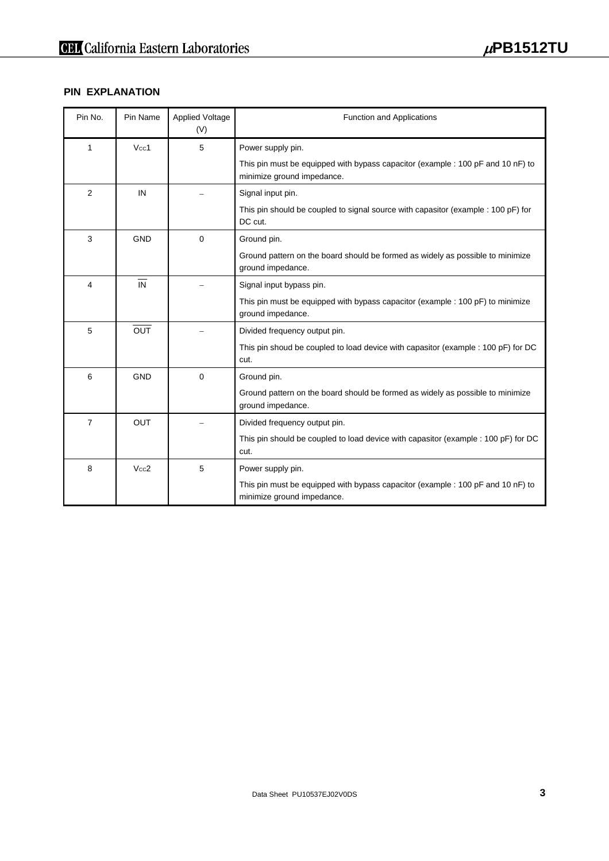#### **PIN EXPLANATION**

| Pin No.        | Pin Name         | <b>Applied Voltage</b><br>(V) | <b>Function and Applications</b>                                                                              |  |
|----------------|------------------|-------------------------------|---------------------------------------------------------------------------------------------------------------|--|
| 1              | Vcc1             | 5                             | Power supply pin.                                                                                             |  |
|                |                  |                               | This pin must be equipped with bypass capacitor (example : 100 pF and 10 nF) to<br>minimize ground impedance. |  |
| 2              | IN               |                               | Signal input pin.                                                                                             |  |
|                |                  |                               | This pin should be coupled to signal source with capasitor (example : 100 pF) for<br>DC cut.                  |  |
| 3              | <b>GND</b>       | $\mathbf 0$                   | Ground pin.                                                                                                   |  |
|                |                  |                               | Ground pattern on the board should be formed as widely as possible to minimize<br>ground impedance.           |  |
| 4              | IN               |                               | Signal input bypass pin.                                                                                      |  |
|                |                  |                               | This pin must be equipped with bypass capacitor (example : 100 pF) to minimize<br>ground impedance.           |  |
| 5              | $\overline{OUT}$ |                               | Divided frequency output pin.                                                                                 |  |
|                |                  |                               | This pin shoud be coupled to load device with capasitor (example : 100 pF) for DC<br>cut.                     |  |
| 6              | <b>GND</b>       | $\mathbf 0$                   | Ground pin.                                                                                                   |  |
|                |                  |                               | Ground pattern on the board should be formed as widely as possible to minimize<br>ground impedance.           |  |
| $\overline{7}$ | OUT              |                               | Divided frequency output pin.                                                                                 |  |
|                |                  |                               | This pin should be coupled to load device with capasitor (example : 100 pF) for DC<br>cut.                    |  |
| 8              | Vcc2             | 5                             | Power supply pin.                                                                                             |  |
|                |                  |                               | This pin must be equipped with bypass capacitor (example : 100 pF and 10 nF) to<br>minimize ground impedance. |  |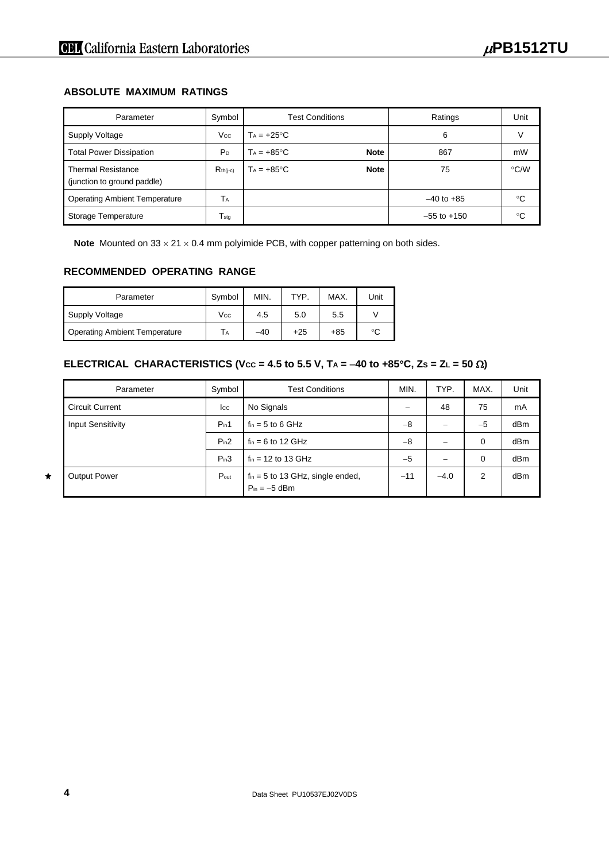#### **ABSOLUTE MAXIMUM RATINGS**

| Parameter                                                | Symbol                    | <b>Test Conditions</b>              | Ratings         | Unit |
|----------------------------------------------------------|---------------------------|-------------------------------------|-----------------|------|
| Supply Voltage                                           | Vcc                       | $T_A = +25^{\circ}C$                | 6               |      |
| <b>Total Power Dissipation</b>                           | P <sub>D</sub>            | <b>Note</b><br>$T_A = +85^{\circ}C$ | 867             | mW   |
| <b>Thermal Resistance</b><br>(junction to ground paddle) | $R_{th(i-c)}$             | <b>Note</b><br>$Ta = +85^{\circ}C$  | 75              | °C/W |
| <b>Operating Ambient Temperature</b>                     | ТA                        |                                     | $-40$ to $+85$  | °C   |
| Storage Temperature                                      | $\mathsf{T}_{\text{stg}}$ |                                     | $-55$ to $+150$ | °C   |

**Note** Mounted on 33 × 21 × 0.4 mm polyimide PCB, with copper patterning on both sides.

#### **RECOMMENDED OPERATING RANGE**

| Parameter                            | Symbol | MIN.  | TYP.  | MAX.  | Unit |
|--------------------------------------|--------|-------|-------|-------|------|
| Supply Voltage                       | Vcc    | 4.5   | 5.0   | 5.5   |      |
| <b>Operating Ambient Temperature</b> | Tд     | $-40$ | $+25$ | $+85$ | °C   |

### **ELECTRICAL CHARACTERISTICS (Vcc = 4.5 to 5.5 V, TA =**  $-40$  **to +85°C, Zs = ZL = 50**  $\Omega$ **)**

| Parameter                | Symbol       | <b>Test Conditions</b>                                            | MIN.  | TYP.   | MAX.        | Unit |
|--------------------------|--------------|-------------------------------------------------------------------|-------|--------|-------------|------|
| <b>Circuit Current</b>   | $_{\rm lcc}$ | No Signals                                                        |       | 48     | 75          | mA   |
| <b>Input Sensitivity</b> | $P_{in}1$    | $f_{\text{in}} = 5$ to 6 GHz                                      | $-8$  |        | $-5$        | dBm  |
|                          | $P_{in}2$    | $f_{in} = 6$ to 12 GHz                                            | $-8$  |        | $\mathbf 0$ | dBm  |
|                          | $P_{in}3$    | $f_{in}$ = 12 to 13 GHz                                           | $-5$  |        | 0           | dBm  |
| <b>Output Power</b>      | Pout         | $f_{\text{in}} = 5$ to 13 GHz, single ended,<br>$P_{in} = -5$ dBm | $-11$ | $-4.0$ | 2           | dBm  |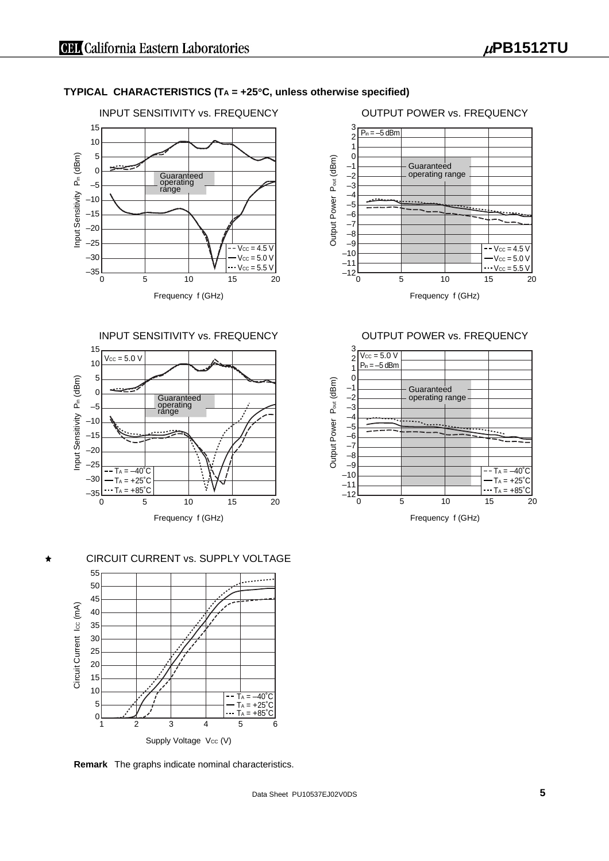#### **TYPICAL CHARACTERISTICS (TA = +25**°**C, unless otherwise specified)**



#### INPUT SENSITIVITY vs. FREQUENCY



#### CIRCUIT CURRENT vs. SUPPLY VOLTAGE



**Remark** The graphs indicate nominal characteristics.



#### OUTPUT POWER vs. FREQUENCY



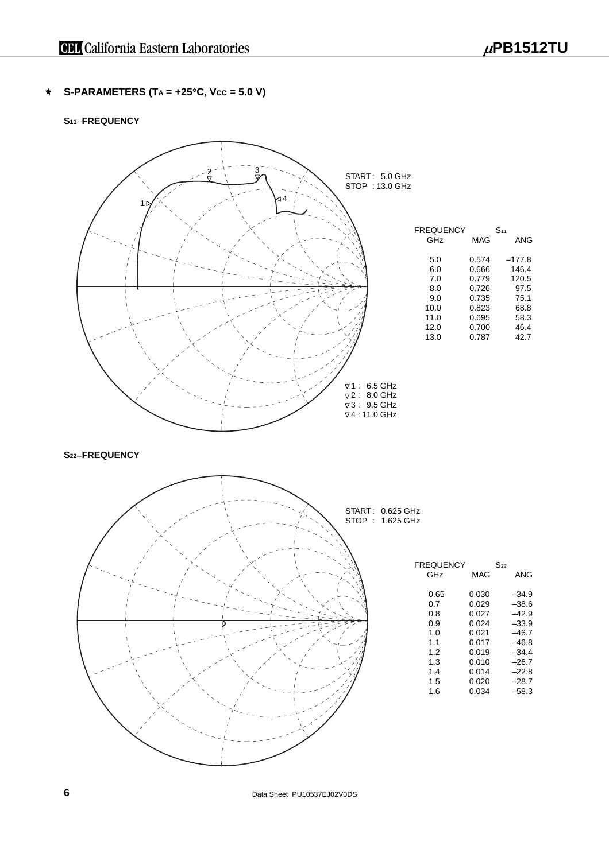**S-PARAMETERS (TA = +25°C, Vcc = 5.0 V)**  $\bigstar$ 

#### **S11**−**FREQUENCY**



**6 Data Sheet PU10537EJ02V0DS**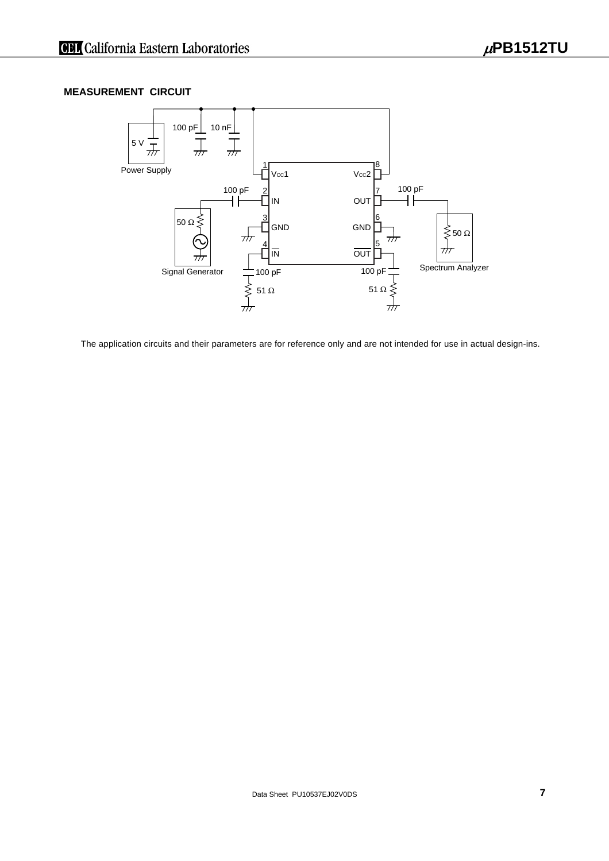#### **MEASUREMENT CIRCUIT**



The application circuits and their parameters are for reference only and are not intended for use in actual design-ins.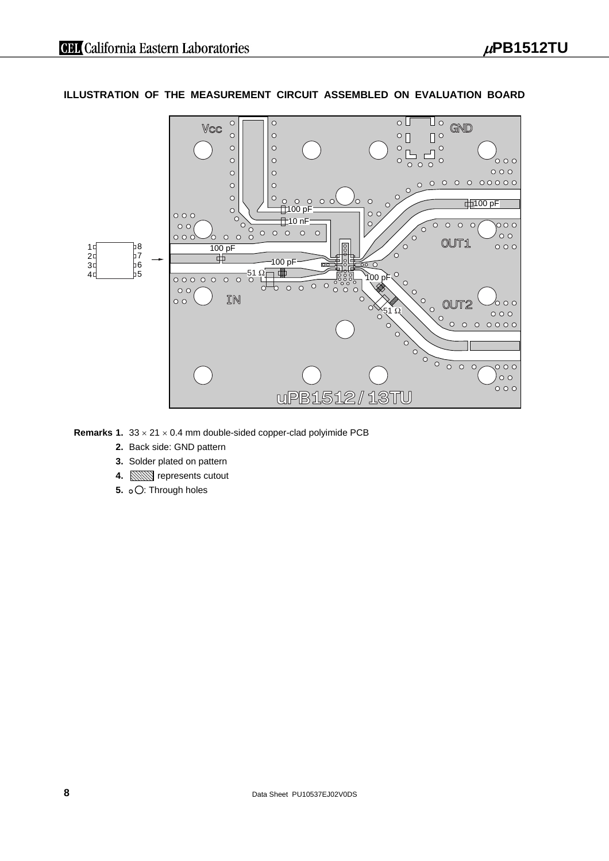#### **ILLUSTRATION OF THE MEASUREMENT CIRCUIT ASSEMBLED ON EVALUATION BOARD**



**Remarks 1.**  $33 \times 21 \times 0.4$  mm double-sided copper-clad polyimide PCB

- **2.** Back side: GND pattern
- **3.** Solder plated on pattern
- **4.** *<u>manuel</u>* represents cutout
- **5. o**  $\bigcirc$ : Through holes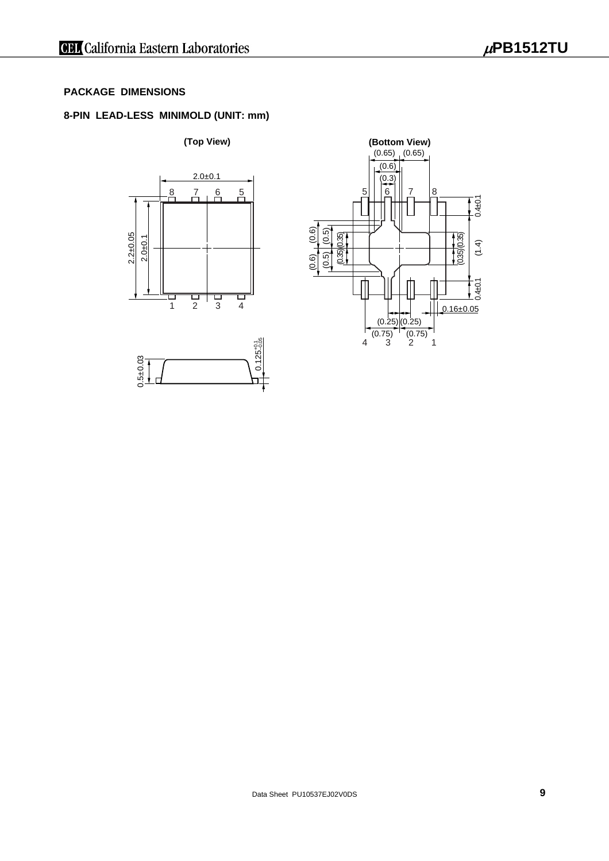#### **PACKAGE DIMENSIONS**

#### **8-PIN LEAD-LESS MINIMOLD (UNIT: mm)**



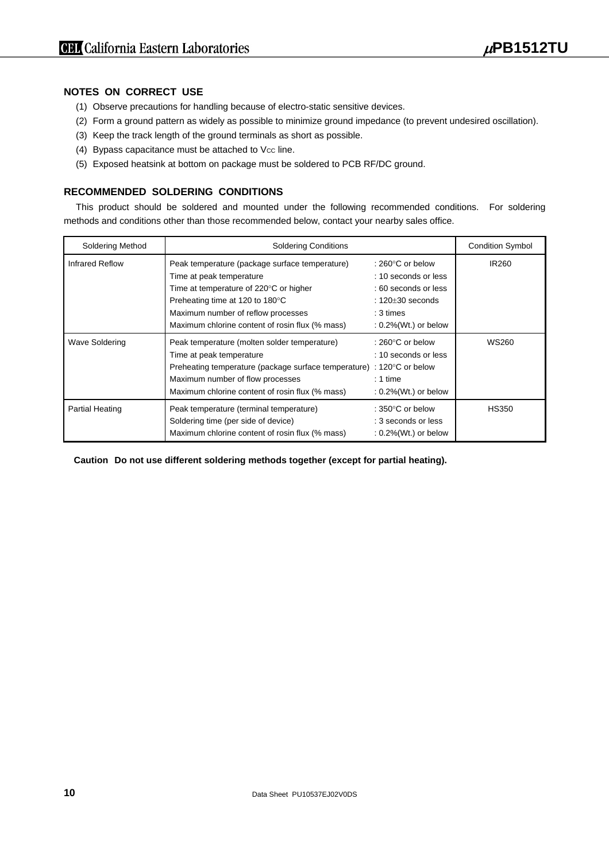#### **NOTES ON CORRECT USE**

- (1) Observe precautions for handling because of electro-static sensitive devices.
- (2) Form a ground pattern as widely as possible to minimize ground impedance (to prevent undesired oscillation).
- (3) Keep the track length of the ground terminals as short as possible.
- (4) Bypass capacitance must be attached to Vcc line.
- (5) Exposed heatsink at bottom on package must be soldered to PCB RF/DC ground.

#### **RECOMMENDED SOLDERING CONDITIONS**

This product should be soldered and mounted under the following recommended conditions. For soldering methods and conditions other than those recommended below, contact your nearby sales office.

| <b>Soldering Method</b> | <b>Soldering Conditions</b>                                                                                                                                                                                                                      |                                                                                                                                                | <b>Condition Symbol</b> |
|-------------------------|--------------------------------------------------------------------------------------------------------------------------------------------------------------------------------------------------------------------------------------------------|------------------------------------------------------------------------------------------------------------------------------------------------|-------------------------|
| <b>Infrared Reflow</b>  | Peak temperature (package surface temperature)<br>Time at peak temperature<br>Time at temperature of 220°C or higher<br>Preheating time at 120 to 180°C<br>Maximum number of reflow processes<br>Maximum chlorine content of rosin flux (% mass) | : 260 $\degree$ C or below<br>: 10 seconds or less<br>: 60 seconds or less<br>$: 120 + 30$ seconds<br>$: 3 \times$<br>$: 0.2\%$ (Wt.) or below | <b>IR260</b>            |
| Wave Soldering          | Peak temperature (molten solder temperature)<br>Time at peak temperature<br>Preheating temperature (package surface temperature) : 120°C or below<br>Maximum number of flow processes<br>Maximum chlorine content of rosin flux (% mass)         | : 260 $\degree$ C or below<br>: 10 seconds or less<br>$: 1$ time<br>$: 0.2\%$ (Wt.) or below                                                   | WS260                   |
| <b>Partial Heating</b>  | Peak temperature (terminal temperature)<br>Soldering time (per side of device)<br>Maximum chlorine content of rosin flux (% mass)                                                                                                                | : 350 $\degree$ C or below<br>: 3 seconds or less<br>$: 0.2\%$ (Wt.) or below                                                                  | <b>HS350</b>            |

**Caution Do not use different soldering methods together (except for partial heating).**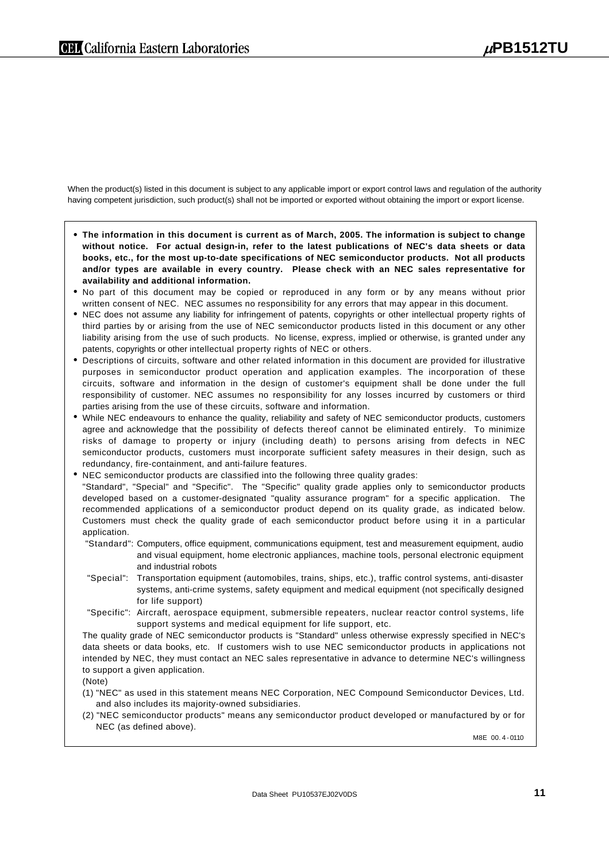When the product(s) listed in this document is subject to any applicable import or export control laws and regulation of the authority having competent jurisdiction, such product(s) shall not be imported or exported without obtaining the import or export license.

- **The information in this document is current as of March, 2005. The information is subject to change without notice. For actual design-in, refer to the latest publications of NEC's data sheets or data books, etc., for the most up-to-date specifications of NEC semiconductor products. Not all products and/or types are available in every country. Please check with an NEC sales representative for availability and additional information.**
- No part of this document may be copied or reproduced in any form or by any means without prior written consent of NEC. NEC assumes no responsibility for any errors that may appear in this document.
- NEC does not assume any liability for infringement of patents, copyrights or other intellectual property rights of third parties by or arising from the use of NEC semiconductor products listed in this document or any other liability arising from the use of such products. No license, express, implied or otherwise, is granted under any patents, copyrights or other intellectual property rights of NEC or others.
- Descriptions of circuits, software and other related information in this document are provided for illustrative purposes in semiconductor product operation and application examples. The incorporation of these circuits, software and information in the design of customer's equipment shall be done under the full responsibility of customer. NEC assumes no responsibility for any losses incurred by customers or third parties arising from the use of these circuits, software and information.
- While NEC endeavours to enhance the quality, reliability and safety of NEC semiconductor products, customers agree and acknowledge that the possibility of defects thereof cannot be eliminated entirely. To minimize risks of damage to property or injury (including death) to persons arising from defects in NEC semiconductor products, customers must incorporate sufficient safety measures in their design, such as redundancy, fire-containment, and anti-failure features.
- NEC semiconductor products are classified into the following three quality grades: "Standard", "Special" and "Specific". The "Specific" quality grade applies only to semiconductor products developed based on a customer-designated "quality assurance program" for a specific application. The recommended applications of a semiconductor product depend on its quality grade, as indicated below.
	- Customers must check the quality grade of each semiconductor product before using it in a particular application. "Standard": Computers, office equipment, communications equipment, test and measurement equipment, audio
		- and visual equipment, home electronic appliances, machine tools, personal electronic equipment and industrial robots
		- "Special": Transportation equipment (automobiles, trains, ships, etc.), traffic control systems, anti-disaster systems, anti-crime systems, safety equipment and medical equipment (not specifically designed for life support)
		- "Specific": Aircraft, aerospace equipment, submersible repeaters, nuclear reactor control systems, life support systems and medical equipment for life support, etc.

The quality grade of NEC semiconductor products is "Standard" unless otherwise expressly specified in NEC's data sheets or data books, etc. If customers wish to use NEC semiconductor products in applications not intended by NEC, they must contact an NEC sales representative in advance to determine NEC's willingness to support a given application.

- (Note)
- (1) "NEC" as used in this statement means NEC Corporation, NEC Compound Semiconductor Devices, Ltd. and also includes its majority-owned subsidiaries.
- (2) "NEC semiconductor products" means any semiconductor product developed or manufactured by or for NEC (as defined above).

M8E 00. 4 - 0110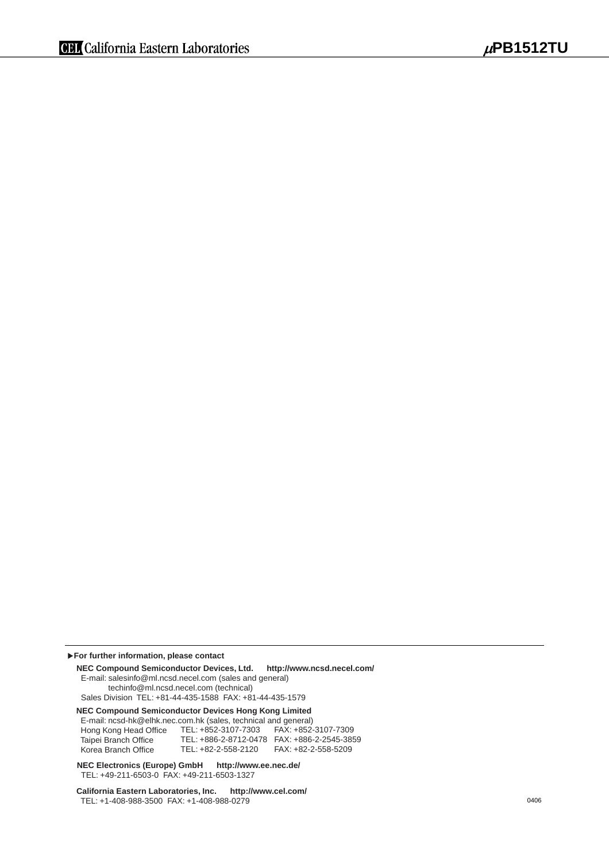**For further information, please contact**

**NEC Compound Semiconductor Devices, Ltd. http://www.ncsd.necel.com/** E-mail: salesinfo@ml.ncsd.necel.com (sales and general) techinfo@ml.ncsd.necel.com (technical) Sales Division TEL: +81-44-435-1588 FAX: +81-44-435-1579

**NEC Compound Semiconductor Devices Hong Kong Limited**

E-mail: ncsd-hk@elhk.nec.com.hk (sales, technical and general)

 Hong Kong Head Office Taipei Branch Office Korea Branch Office TEL: +852-3107-7303 TEL: +886-2-8712-0478 FAX: +886-2-2545-3859 TEL: +82-2-558-2120 FAX: +852-3107-7309 FAX: +82-2-558-5209

**NEC Electronics (Europe) GmbH http://www.ee.nec.de/** TEL: +49-211-6503-0 FAX: +49-211-6503-1327

**California Eastern Laboratories, Inc. http://www.cel.com/** TEL: +1-408-988-3500 FAX: +1-408-988-0279 0406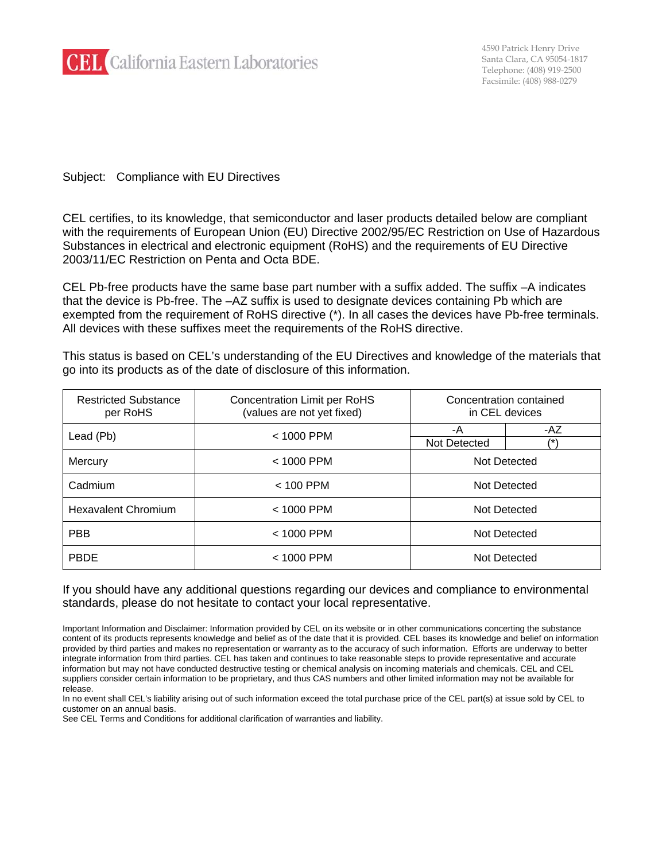

Subject: Compliance with EU Directives

CEL certifies, to its knowledge, that semiconductor and laser products detailed below are compliant with the requirements of European Union (EU) Directive 2002/95/EC Restriction on Use of Hazardous Substances in electrical and electronic equipment (RoHS) and the requirements of EU Directive 2003/11/EC Restriction on Penta and Octa BDE.

CEL Pb-free products have the same base part number with a suffix added. The suffix –A indicates that the device is Pb-free. The –AZ suffix is used to designate devices containing Pb which are exempted from the requirement of RoHS directive (\*). In all cases the devices have Pb-free terminals. All devices with these suffixes meet the requirements of the RoHS directive.

This status is based on CEL's understanding of the EU Directives and knowledge of the materials that go into its products as of the date of disclosure of this information.

| <b>Restricted Substance</b><br>per RoHS | <b>Concentration Limit per RoHS</b><br>(values are not yet fixed) | Concentration contained<br>in CEL devices |              |  |
|-----------------------------------------|-------------------------------------------------------------------|-------------------------------------------|--------------|--|
| Lead (Pb)                               | $< 1000$ PPM                                                      | -A                                        | -AZ<br>$(*)$ |  |
|                                         |                                                                   | Not Detected                              |              |  |
| Mercury                                 | $< 1000$ PPM                                                      | Not Detected                              |              |  |
| Cadmium                                 | $< 100$ PPM                                                       | Not Detected                              |              |  |
| <b>Hexavalent Chromium</b>              | $< 1000$ PPM                                                      | Not Detected                              |              |  |
| <b>PBB</b>                              | < 1000 PPM                                                        | Not Detected                              |              |  |
| <b>PBDE</b>                             | $< 1000$ PPM                                                      | Not Detected                              |              |  |

If you should have any additional questions regarding our devices and compliance to environmental standards, please do not hesitate to contact your local representative.

In no event shall CEL's liability arising out of such information exceed the total purchase price of the CEL part(s) at issue sold by CEL to customer on an annual basis.

See CEL Terms and Conditions for additional clarification of warranties and liability.

Important Information and Disclaimer: Information provided by CEL on its website or in other communications concerting the substance content of its products represents knowledge and belief as of the date that it is provided. CEL bases its knowledge and belief on information provided by third parties and makes no representation or warranty as to the accuracy of such information. Efforts are underway to better integrate information from third parties. CEL has taken and continues to take reasonable steps to provide representative and accurate information but may not have conducted destructive testing or chemical analysis on incoming materials and chemicals. CEL and CEL suppliers consider certain information to be proprietary, and thus CAS numbers and other limited information may not be available for release.